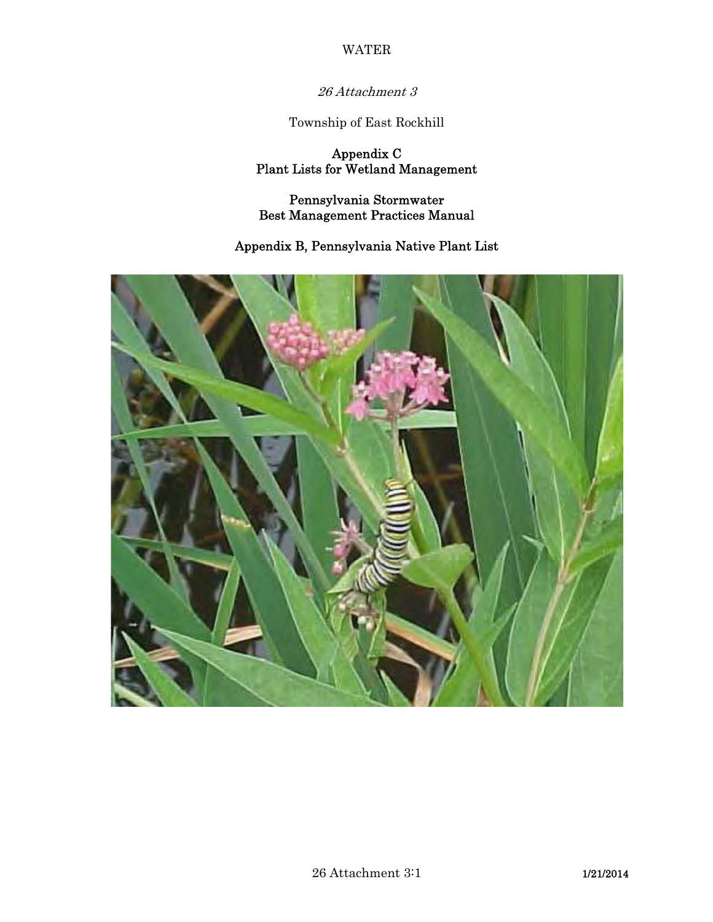26 Attachment 3

Township of East Rockhill

Appendix C Plant Lists for Wetland Management

Pennsylvania Stormwater Best Management Practices Manual

# Appendix B, Pennsylvania Native Plant List

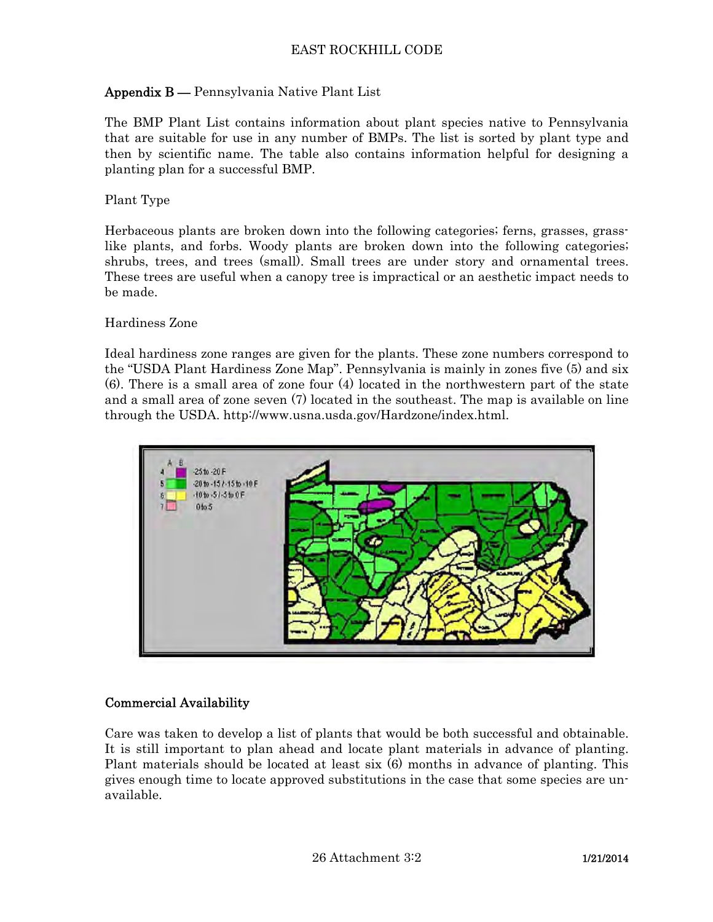# Appendix B — Pennsylvania Native Plant List

The BMP Plant List contains information about plant species native to Pennsylvania that are suitable for use in any number of BMPs. The list is sorted by plant type and then by scientific name. The table also contains information helpful for designing a planting plan for a successful BMP.

### Plant Type

Herbaceous plants are broken down into the following categories; ferns, grasses, grasslike plants, and forbs. Woody plants are broken down into the following categories; shrubs, trees, and trees (small). Small trees are under story and ornamental trees. These trees are useful when a canopy tree is impractical or an aesthetic impact needs to be made.

### Hardiness Zone

Ideal hardiness zone ranges are given for the plants. These zone numbers correspond to the "USDA Plant Hardiness Zone Map". Pennsylvania is mainly in zones five (5) and six (6). There is a small area of zone four (4) located in the northwestern part of the state and a small area of zone seven (7) located in the southeast. The map is available on line through the USDA. http://www.usna.usda.gov/Hardzone/index.html.



### Commercial Availability

Care was taken to develop a list of plants that would be both successful and obtainable. It is still important to plan ahead and locate plant materials in advance of planting. Plant materials should be located at least six (6) months in advance of planting. This gives enough time to locate approved substitutions in the case that some species are unavailable.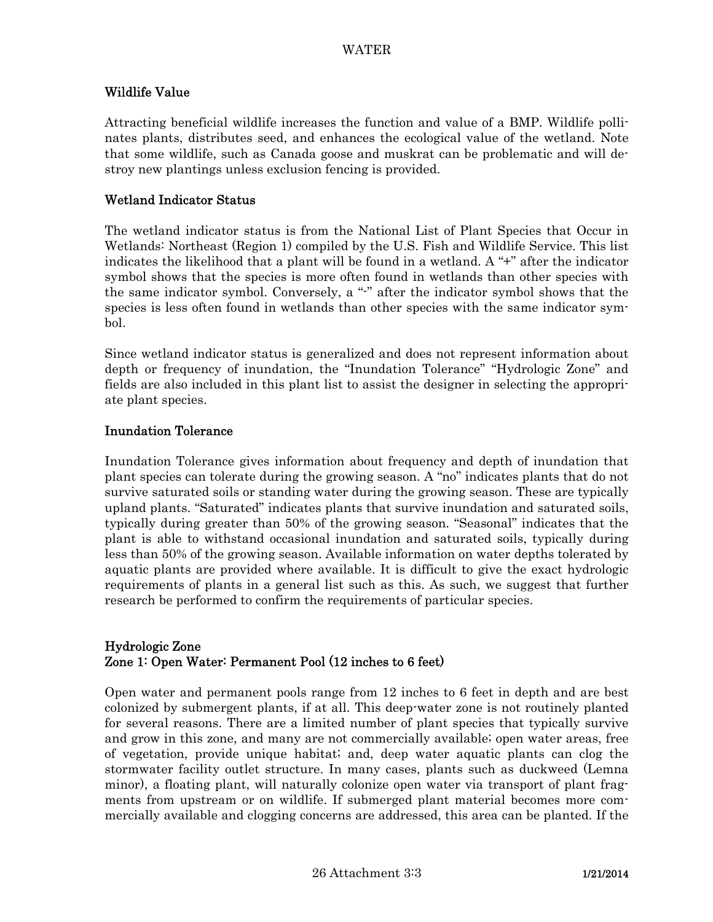## Wildlife Value

Attracting beneficial wildlife increases the function and value of a BMP. Wildlife pollinates plants, distributes seed, and enhances the ecological value of the wetland. Note that some wildlife, such as Canada goose and muskrat can be problematic and will destroy new plantings unless exclusion fencing is provided.

### Wetland Indicator Status

The wetland indicator status is from the National List of Plant Species that Occur in Wetlands: Northeast (Region 1) compiled by the U.S. Fish and Wildlife Service. This list indicates the likelihood that a plant will be found in a wetland. A "+" after the indicator symbol shows that the species is more often found in wetlands than other species with the same indicator symbol. Conversely, a "-" after the indicator symbol shows that the species is less often found in wetlands than other species with the same indicator symbol.

Since wetland indicator status is generalized and does not represent information about depth or frequency of inundation, the "Inundation Tolerance" "Hydrologic Zone" and fields are also included in this plant list to assist the designer in selecting the appropriate plant species.

## Inundation Tolerance

Inundation Tolerance gives information about frequency and depth of inundation that plant species can tolerate during the growing season. A "no" indicates plants that do not survive saturated soils or standing water during the growing season. These are typically upland plants. "Saturated" indicates plants that survive inundation and saturated soils, typically during greater than 50% of the growing season. "Seasonal" indicates that the plant is able to withstand occasional inundation and saturated soils, typically during less than 50% of the growing season. Available information on water depths tolerated by aquatic plants are provided where available. It is difficult to give the exact hydrologic requirements of plants in a general list such as this. As such, we suggest that further research be performed to confirm the requirements of particular species.

### Hydrologic Zone Zone 1: Open Water: Permanent Pool (12 inches to 6 feet)

Open water and permanent pools range from 12 inches to 6 feet in depth and are best colonized by submergent plants, if at all. This deep-water zone is not routinely planted for several reasons. There are a limited number of plant species that typically survive and grow in this zone, and many are not commercially available; open water areas, free of vegetation, provide unique habitat; and, deep water aquatic plants can clog the stormwater facility outlet structure. In many cases, plants such as duckweed (Lemna minor), a floating plant, will naturally colonize open water via transport of plant fragments from upstream or on wildlife. If submerged plant material becomes more commercially available and clogging concerns are addressed, this area can be planted. If the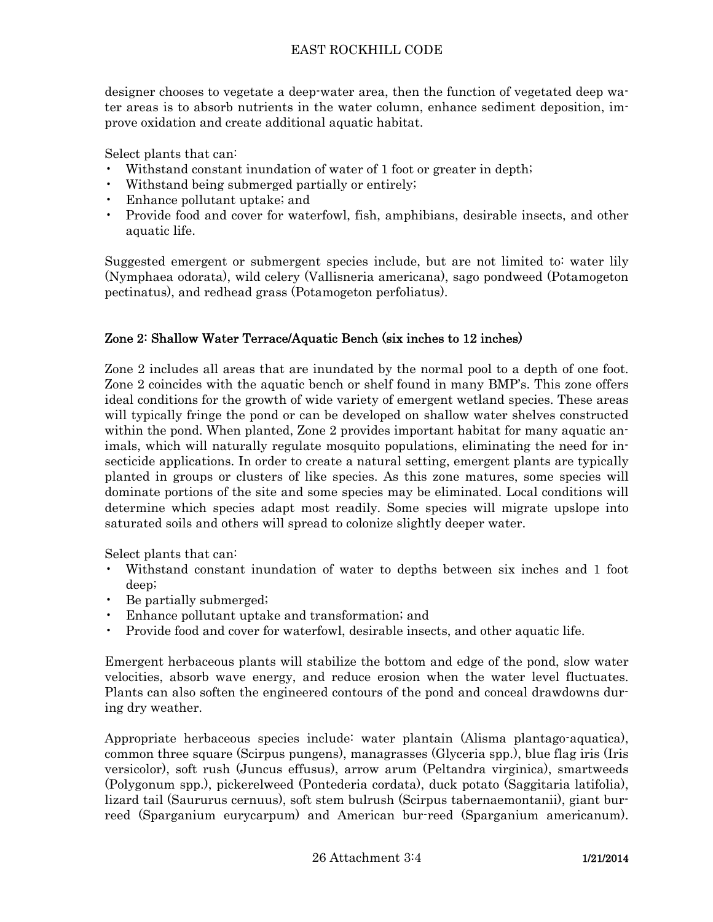designer chooses to vegetate a deep-water area, then the function of vegetated deep water areas is to absorb nutrients in the water column, enhance sediment deposition, improve oxidation and create additional aquatic habitat.

Select plants that can:

- Withstand constant inundation of water of 1 foot or greater in depth;
- Withstand being submerged partially or entirely;
- Enhance pollutant uptake; and
- Provide food and cover for waterfowl, fish, amphibians, desirable insects, and other aquatic life.

Suggested emergent or submergent species include, but are not limited to: water lily (Nymphaea odorata), wild celery (Vallisneria americana), sago pondweed (Potamogeton pectinatus), and redhead grass (Potamogeton perfoliatus).

# Zone 2: Shallow Water Terrace/Aquatic Bench (six inches to 12 inches)

Zone 2 includes all areas that are inundated by the normal pool to a depth of one foot. Zone 2 coincides with the aquatic bench or shelf found in many BMP's. This zone offers ideal conditions for the growth of wide variety of emergent wetland species. These areas will typically fringe the pond or can be developed on shallow water shelves constructed within the pond. When planted, Zone 2 provides important habitat for many aquatic animals, which will naturally regulate mosquito populations, eliminating the need for insecticide applications. In order to create a natural setting, emergent plants are typically planted in groups or clusters of like species. As this zone matures, some species will dominate portions of the site and some species may be eliminated. Local conditions will determine which species adapt most readily. Some species will migrate upslope into saturated soils and others will spread to colonize slightly deeper water.

Select plants that can:

- Withstand constant inundation of water to depths between six inches and 1 foot deep;
- Be partially submerged;
- Enhance pollutant uptake and transformation; and
- Provide food and cover for waterfowl, desirable insects, and other aquatic life.

Emergent herbaceous plants will stabilize the bottom and edge of the pond, slow water velocities, absorb wave energy, and reduce erosion when the water level fluctuates. Plants can also soften the engineered contours of the pond and conceal drawdowns during dry weather.

Appropriate herbaceous species include: water plantain (Alisma plantago-aquatica), common three square (Scirpus pungens), managrasses (Glyceria spp.), blue flag iris (Iris versicolor), soft rush (Juncus effusus), arrow arum (Peltandra virginica), smartweeds (Polygonum spp.), pickerelweed (Pontederia cordata), duck potato (Saggitaria latifolia), lizard tail (Saururus cernuus), soft stem bulrush (Scirpus tabernaemontanii), giant burreed (Sparganium eurycarpum) and American bur-reed (Sparganium americanum).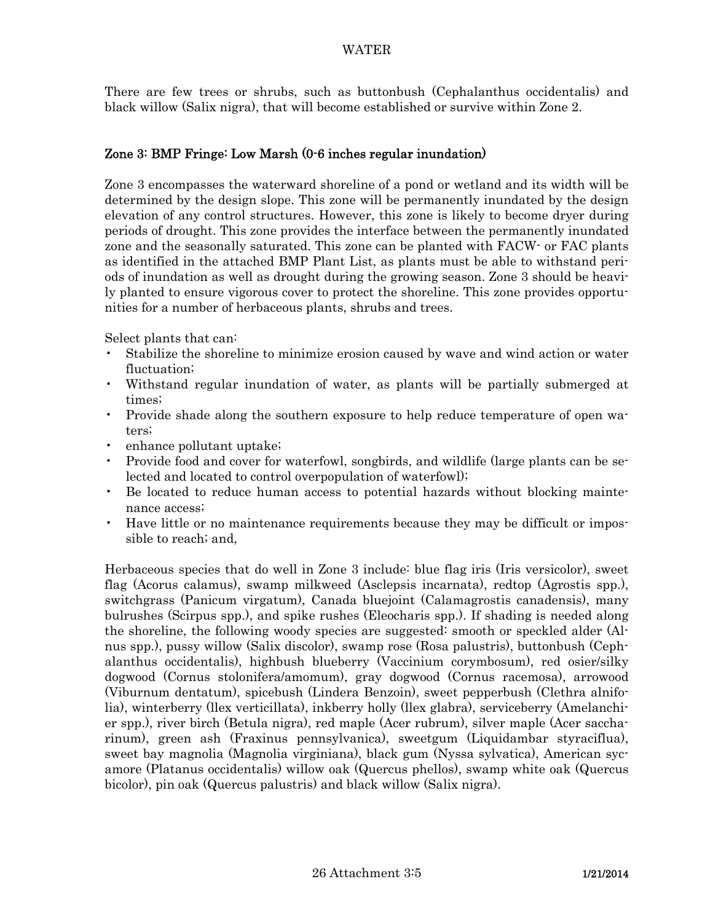There are few trees or shrubs, such as buttonbush (Cephalanthus occidentalis) and black willow (Salix nigra), that will become established or survive within Zone 2.

## Zone 3: BMP Fringe: Low Marsh (0-6 inches regular inundation)

Zone 3 encompasses the waterward shoreline of a pond or wetland and its width will be determined by the design slope. This zone will be permanently inundated by the design elevation of any control structures. However, this zone is likely to become dryer during periods of drought. This zone provides the interface between the permanently inundated zone and the seasonally saturated. This zone can be planted with FACW- or FAC plants as identified in the attached BMP Plant List, as plants must be able to withstand periods of inundation as well as drought during the growing season. Zone 3 should be heavily planted to ensure vigorous cover to protect the shoreline. This zone provides opportunities for a number of herbaceous plants, shrubs and trees.

Select plants that can:

- Stabilize the shoreline to minimize erosion caused by wave and wind action or water fluctuation;
- Withstand regular inundation of water, as plants will be partially submerged at times;
- Provide shade along the southern exposure to help reduce temperature of open waters;
- enhance pollutant uptake;
- Provide food and cover for waterfowl, songbirds, and wildlife (large plants can be selected and located to control overpopulation of waterfowl);
- Be located to reduce human access to potential hazards without blocking maintenance access;
- Have little or no maintenance requirements because they may be difficult or impossible to reach; and,

Herbaceous species that do well in Zone 3 include: blue flag iris (Iris versicolor), sweet flag (Acorus calamus), swamp milkweed (Asclepsis incarnata), redtop (Agrostis spp.), switchgrass (Panicum virgatum), Canada bluejoint (Calamagrostis canadensis), many bulrushes (Scirpus spp.), and spike rushes (Eleocharis spp.). If shading is needed along the shoreline, the following woody species are suggested: smooth or speckled alder (Alnus spp.), pussy willow (Salix discolor), swamp rose (Rosa palustris), buttonbush (Cephalanthus occidentalis), highbush blueberry (Vaccinium corymbosum), red osier/silky dogwood (Cornus stolonifera/amomum), gray dogwood (Cornus racemosa), arrowood (Viburnum dentatum), spicebush (Lindera Benzoin), sweet pepperbush (Clethra alnifolia), winterberry (llex verticillata), inkberry holly (llex glabra), serviceberry (Amelanchier spp.), river birch (Betula nigra), red maple (Acer rubrum), silver maple (Acer saccharinum), green ash (Fraxinus pennsylvanica), sweetgum (Liquidambar styraciflua), sweet bay magnolia (Magnolia virginiana), black gum (Nyssa sylvatica), American sycamore (Platanus occidentalis) willow oak (Quercus phellos), swamp white oak (Quercus bicolor), pin oak (Quercus palustris) and black willow (Salix nigra).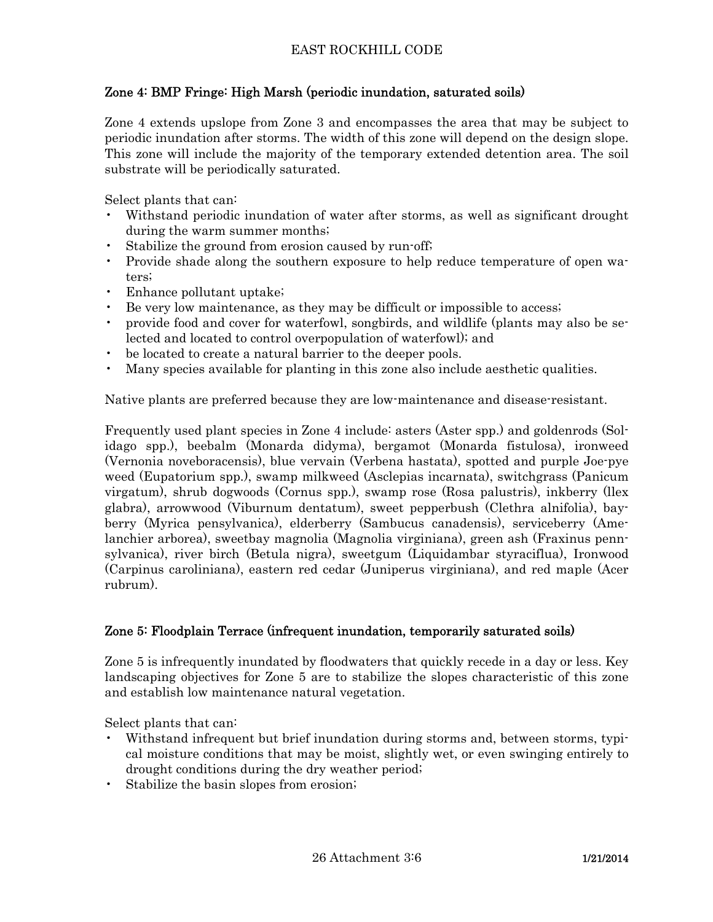# Zone 4: BMP Fringe: High Marsh (periodic inundation, saturated soils)

Zone 4 extends upslope from Zone 3 and encompasses the area that may be subject to periodic inundation after storms. The width of this zone will depend on the design slope. This zone will include the majority of the temporary extended detention area. The soil substrate will be periodically saturated.

Select plants that can:

- Withstand periodic inundation of water after storms, as well as significant drought during the warm summer months;
- Stabilize the ground from erosion caused by run-off;
- Provide shade along the southern exposure to help reduce temperature of open waters;
- Enhance pollutant uptake;
- Be very low maintenance, as they may be difficult or impossible to access;
- provide food and cover for waterfowl, songbirds, and wildlife (plants may also be selected and located to control overpopulation of waterfowl); and
- be located to create a natural barrier to the deeper pools.
- Many species available for planting in this zone also include aesthetic qualities.

Native plants are preferred because they are low-maintenance and disease-resistant.

Frequently used plant species in Zone 4 include: asters (Aster spp.) and goldenrods (Solidago spp.), beebalm (Monarda didyma), bergamot (Monarda fistulosa), ironweed (Vernonia noveboracensis), blue vervain (Verbena hastata), spotted and purple Joe-pye weed (Eupatorium spp.), swamp milkweed (Asclepias incarnata), switchgrass (Panicum virgatum), shrub dogwoods (Cornus spp.), swamp rose (Rosa palustris), inkberry (llex glabra), arrowwood (Viburnum dentatum), sweet pepperbush (Clethra alnifolia), bayberry (Myrica pensylvanica), elderberry (Sambucus canadensis), serviceberry (Amelanchier arborea), sweetbay magnolia (Magnolia virginiana), green ash (Fraxinus pennsylvanica), river birch (Betula nigra), sweetgum (Liquidambar styraciflua), Ironwood (Carpinus caroliniana), eastern red cedar (Juniperus virginiana), and red maple (Acer rubrum).

# Zone 5: Floodplain Terrace (infrequent inundation, temporarily saturated soils)

Zone 5 is infrequently inundated by floodwaters that quickly recede in a day or less. Key landscaping objectives for Zone 5 are to stabilize the slopes characteristic of this zone and establish low maintenance natural vegetation.

Select plants that can:

- Withstand infrequent but brief inundation during storms and, between storms, typical moisture conditions that may be moist, slightly wet, or even swinging entirely to drought conditions during the dry weather period;
- Stabilize the basin slopes from erosion;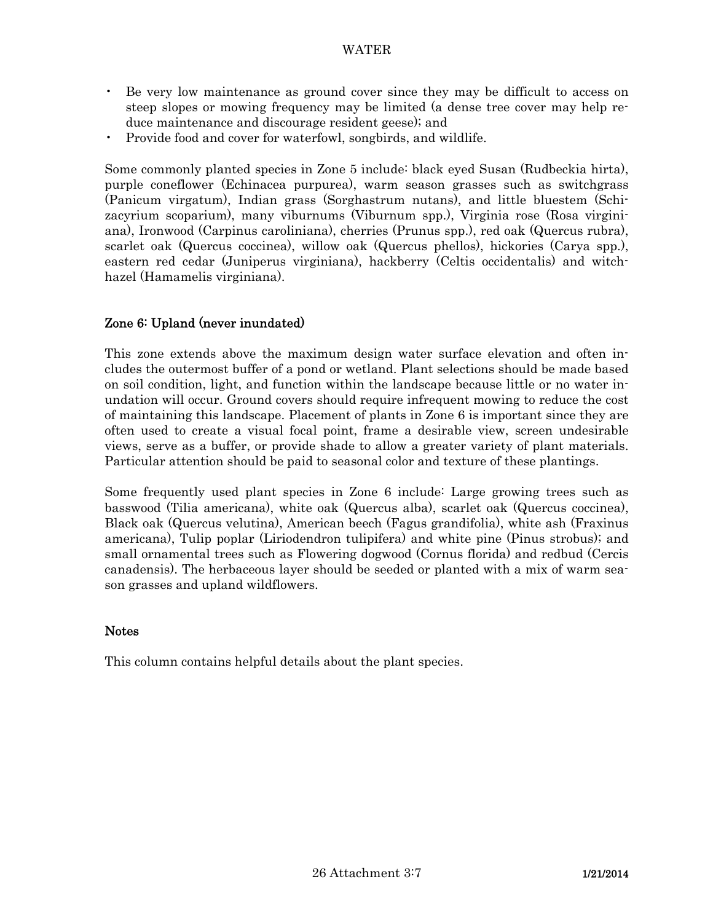- Be very low maintenance as ground cover since they may be difficult to access on steep slopes or mowing frequency may be limited (a dense tree cover may help reduce maintenance and discourage resident geese); and
- Provide food and cover for waterfowl, songbirds, and wildlife.

Some commonly planted species in Zone 5 include: black eyed Susan (Rudbeckia hirta), purple coneflower (Echinacea purpurea), warm season grasses such as switchgrass (Panicum virgatum), Indian grass (Sorghastrum nutans), and little bluestem (Schizacyrium scoparium), many viburnums (Viburnum spp.), Virginia rose (Rosa virginiana), Ironwood (Carpinus caroliniana), cherries (Prunus spp.), red oak (Quercus rubra), scarlet oak (Quercus coccinea), willow oak (Quercus phellos), hickories (Carya spp.), eastern red cedar (Juniperus virginiana), hackberry (Celtis occidentalis) and witchhazel (Hamamelis virginiana).

## Zone 6: Upland (never inundated)

This zone extends above the maximum design water surface elevation and often includes the outermost buffer of a pond or wetland. Plant selections should be made based on soil condition, light, and function within the landscape because little or no water inundation will occur. Ground covers should require infrequent mowing to reduce the cost of maintaining this landscape. Placement of plants in Zone 6 is important since they are often used to create a visual focal point, frame a desirable view, screen undesirable views, serve as a buffer, or provide shade to allow a greater variety of plant materials. Particular attention should be paid to seasonal color and texture of these plantings.

Some frequently used plant species in Zone 6 include: Large growing trees such as basswood (Tilia americana), white oak (Quercus alba), scarlet oak (Quercus coccinea), Black oak (Quercus velutina), American beech (Fagus grandifolia), white ash (Fraxinus americana), Tulip poplar (Liriodendron tulipifera) and white pine (Pinus strobus); and small ornamental trees such as Flowering dogwood (Cornus florida) and redbud (Cercis canadensis). The herbaceous layer should be seeded or planted with a mix of warm season grasses and upland wildflowers.

### **Notes**

This column contains helpful details about the plant species.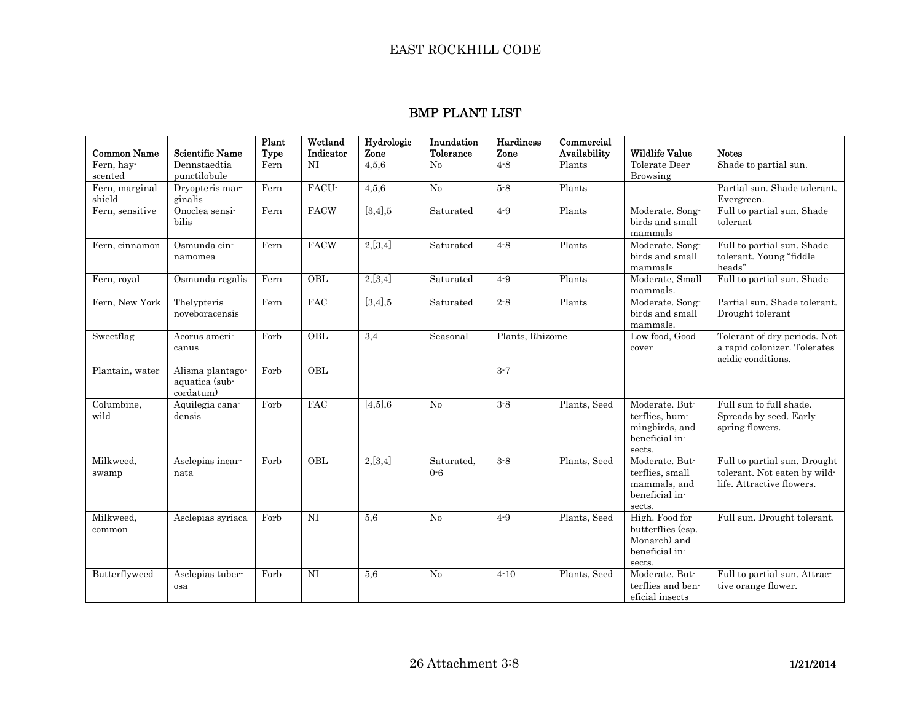### BMP PLANT LIST

| <b>Common Name</b>       | <b>Scientific Name</b>                          | Plant<br><b>Type</b> | Wetland<br>Indicator | Hydrologic<br>Zone | Inundation<br>Tolerance | Hardiness<br>Zone | Commercial<br>Availability | <b>Wildlife Value</b>                                                           | <b>Notes</b>                                                                              |
|--------------------------|-------------------------------------------------|----------------------|----------------------|--------------------|-------------------------|-------------------|----------------------------|---------------------------------------------------------------------------------|-------------------------------------------------------------------------------------------|
| Fern, hav-<br>scented    | Dennstaedtia<br>punctilobule                    | Fern                 | NI                   | 4,5,6              | No                      | $4 - 8$           | Plants                     | Tolerate Deer<br><b>Browsing</b>                                                | Shade to partial sun.                                                                     |
| Fern, marginal<br>shield | Dryopteris mar-<br>ginalis                      | Fern                 | FACU-                | 4,5,6              | $\rm No$                | $5-8$             | Plants                     |                                                                                 | Partial sun. Shade tolerant.<br>Evergreen.                                                |
| Fern, sensitive          | Onoclea sensi-<br>bilis                         | Fern                 | <b>FACW</b>          | $[3,4]$ ,5         | Saturated               | $4-9$             | Plants                     | Moderate. Song-<br>birds and small<br>mammals                                   | Full to partial sun. Shade<br>tolerant                                                    |
| Fern, cinnamon           | Osmunda cin-<br>namomea                         | Fern                 | <b>FACW</b>          | 2,[3,4]            | Saturated               | $4 - 8$           | Plants                     | Moderate. Song-<br>birds and small<br>mammals                                   | Full to partial sun. Shade<br>tolerant. Young "fiddle<br>heads"                           |
| Fern, royal              | Osmunda regalis                                 | Fern                 | OBL                  | 2,[3,4]            | Saturated               | $4-9$             | Plants                     | Moderate, Small<br>mammals.                                                     | Full to partial sun. Shade                                                                |
| Fern, New York           | Thelypteris<br>noveboracensis                   | Fern                 | FAC                  | [3,4],5            | Saturated               | $2 - 8$           | Plants                     | Moderate. Song-<br>birds and small<br>mammals.                                  | Partial sun. Shade tolerant.<br>Drought tolerant                                          |
| Sweetflag                | Acorus ameri-<br>canus                          | Forb                 | OBL                  | 3,4                | Seasonal                | Plants, Rhizome   |                            | Low food, Good<br>cover                                                         | Tolerant of dry periods. Not<br>a rapid colonizer. Tolerates<br>acidic conditions.        |
| Plantain, water          | Alisma plantago-<br>aquatica (sub-<br>cordatum) | Forb                 | OBL                  |                    |                         | $3 - 7$           |                            |                                                                                 |                                                                                           |
| Columbine,<br>wild       | Aquilegia cana-<br>densis                       | Forb                 | <b>FAC</b>           | $[4,5]$ ,6         | No                      | $3 - 8$           | Plants, Seed               | Moderate. But-<br>terflies, hum-<br>mingbirds, and<br>beneficial in-<br>sects.  | Full sun to full shade.<br>Spreads by seed. Early<br>spring flowers.                      |
| Milkweed,<br>swamp       | Asclepias incar-<br>nata                        | Forb                 | OBL                  | 2,[3,4]            | Saturated,<br>$0 - 6$   | $3 - 8$           | Plants, Seed               | Moderate. But-<br>terflies, small<br>mammals, and<br>beneficial in-<br>sects.   | Full to partial sun. Drought<br>tolerant. Not eaten by wild-<br>life. Attractive flowers. |
| Milkweed,<br>common      | Asclepias syriaca                               | Forb                 | NI                   | 5,6                | No                      | $4 - 9$           | Plants, Seed               | High. Food for<br>butterflies (esp.<br>Monarch) and<br>beneficial in-<br>sects. | Full sun. Drought tolerant.                                                               |
| Butterflyweed            | Asclepias tuber-<br>osa                         | Forb                 | NI                   | 5,6                | No                      | $4 - 10$          | Plants, Seed               | Moderate. But-<br>terflies and ben-<br>eficial insects                          | Full to partial sun. Attrac-<br>tive orange flower.                                       |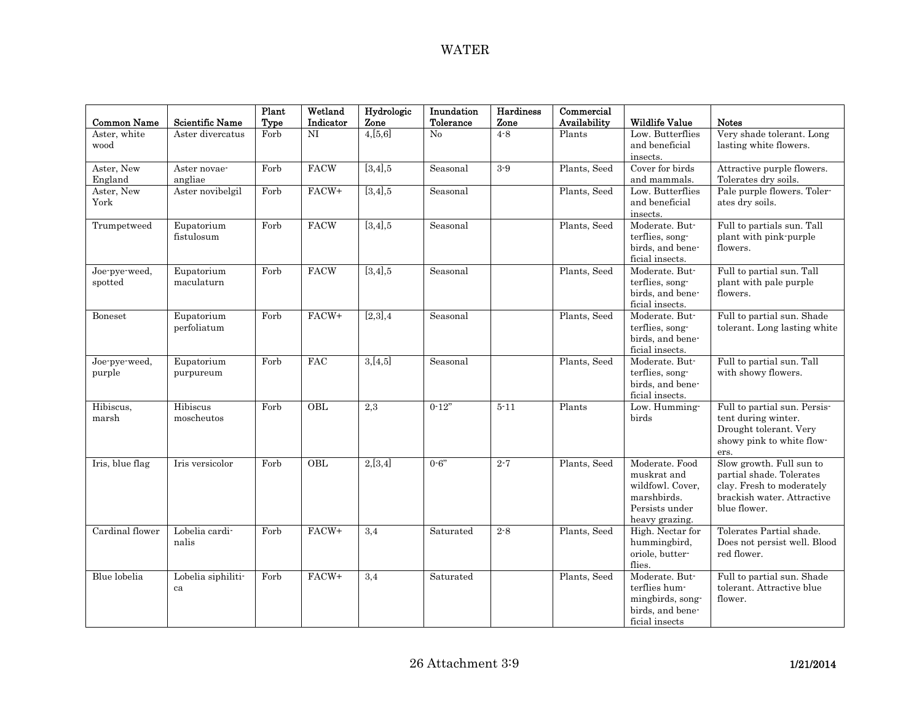| <b>Common Name</b>       | Scientific Name           | Plant<br>Type | Wetland<br>Indicator | Hydrologic<br>Zone | Inundation<br>Tolerance | <b>Hardiness</b><br>Zone | Commercial<br>Availability | <b>Wildlife Value</b>                                                                                | <b>Notes</b>                                                                                                                    |
|--------------------------|---------------------------|---------------|----------------------|--------------------|-------------------------|--------------------------|----------------------------|------------------------------------------------------------------------------------------------------|---------------------------------------------------------------------------------------------------------------------------------|
| Aster, white<br>wood     | Aster divercatus          | Forb          | NI                   | 4,[5,6]            | No                      | $4 - 8$                  | Plants                     | Low. Butterflies<br>and beneficial<br>insects.                                                       | Very shade tolerant. Long<br>lasting white flowers.                                                                             |
| Aster, New<br>England    | Aster novae-<br>angliae   | Forb          | <b>FACW</b>          | [3,4], 5           | Seasonal                | $3-9$                    | Plants, Seed               | Cover for birds<br>and mammals.                                                                      | Attractive purple flowers.<br>Tolerates dry soils.                                                                              |
| Aster, New<br>York       | Aster novibelgil          | Forb          | FACW+                | [3,4],5            | Seasonal                |                          | Plants, Seed               | Low. Butterflies<br>and beneficial<br>insects.                                                       | Pale purple flowers. Toler-<br>ates dry soils.                                                                                  |
| Trumpetweed              | Eupatorium<br>fistulosum  | Forb          | <b>FACW</b>          | $[3,4]$ ,5         | Seasonal                |                          | Plants, Seed               | Moderate. But-<br>terflies, song-<br>birds, and bene-<br>ficial insects.                             | Full to partials sun. Tall<br>plant with pink-purple<br>flowers.                                                                |
| Joe-pye-weed,<br>spotted | Eupatorium<br>maculaturn  | Forb          | <b>FACW</b>          | [3,4], 5           | Seasonal                |                          | Plants, Seed               | Moderate. But-<br>terflies, song-<br>birds, and bene-<br>ficial insects.                             | Full to partial sun. Tall<br>plant with pale purple<br>flowers.                                                                 |
| Boneset                  | Eupatorium<br>perfoliatum | Forb          | FACW+                | [2,3],4            | Seasonal                |                          | Plants, Seed               | Moderate. But-<br>terflies, song-<br>birds, and bene-<br>ficial insects.                             | Full to partial sun. Shade<br>tolerant. Long lasting white                                                                      |
| Joe-pye-weed,<br>purple  | Eupatorium<br>purpureum   | Forb          | <b>FAC</b>           | 3,[4,5]            | Seasonal                |                          | Plants, Seed               | Moderate. But-<br>terflies, song-<br>birds, and bene-<br>ficial insects.                             | Full to partial sun. Tall<br>with showy flowers.                                                                                |
| Hibiscus,<br>marsh       | Hibiscus<br>moscheutos    | Forb          | OBL                  | 2,3                | $0 - 12"$               | $5 - 11$                 | Plants                     | Low. Humming-<br>birds                                                                               | Full to partial sun. Persis-<br>tent during winter.<br>Drought tolerant. Very<br>showy pink to white flow-<br>ers.              |
| Iris, blue flag          | Iris versicolor           | Forb          | OBL                  | 2,[3,4]            | $0 - 6$ "               | $2 - 7$                  | Plants, Seed               | Moderate. Food<br>muskrat and<br>wildfowl. Cover.<br>marshbirds.<br>Persists under<br>heavy grazing. | Slow growth. Full sun to<br>partial shade. Tolerates<br>clay. Fresh to moderately<br>brackish water. Attractive<br>blue flower. |
| Cardinal flower          | Lobelia cardi-<br>nalis   | Forb          | FACW+                | 3,4                | Saturated               | $2 - 8$                  | Plants, Seed               | High. Nectar for<br>hummingbird,<br>oriole, butter-<br>flies.                                        | Tolerates Partial shade.<br>Does not persist well. Blood<br>red flower.                                                         |
| Blue lobelia             | Lobelia siphiliti-<br>ca  | Forb          | FACW+                | 3,4                | Saturated               |                          | Plants, Seed               | Moderate. But-<br>terflies hum-<br>mingbirds, song-<br>birds, and bene-<br>ficial insects            | Full to partial sun. Shade<br>tolerant. Attractive blue<br>flower.                                                              |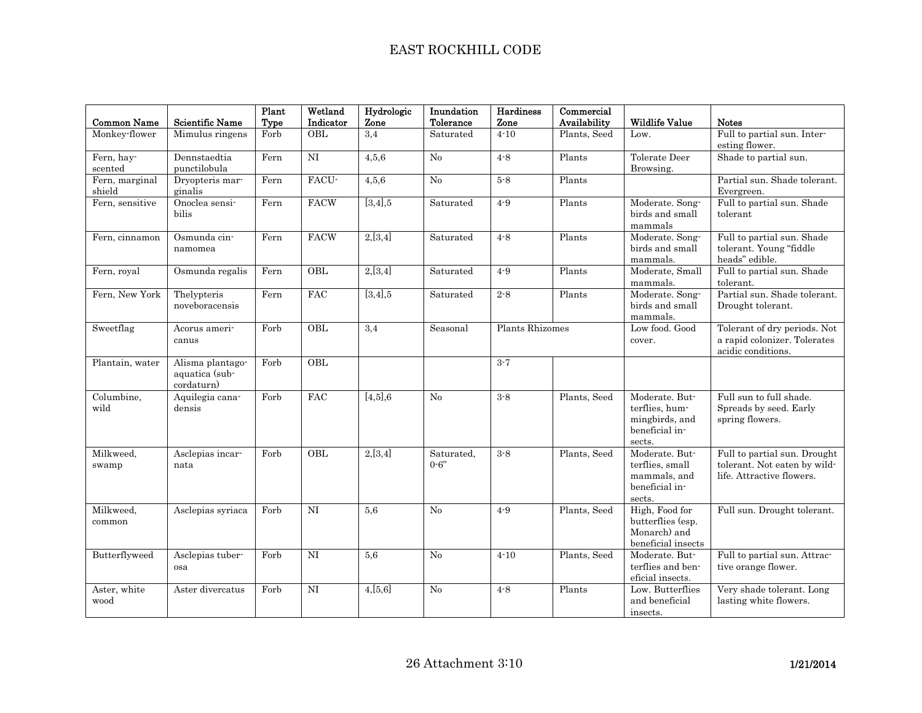# EAST ROCKHILL CODE

| <b>Common Name</b>           | <b>Scientific Name</b>                           | Plant<br>Type | Wetland<br>Indicator | Hydrologic<br>Zone | Inundation<br>Tolerance | Hardiness<br>Zone | Commercial<br>Availability | <b>Wildlife Value</b>                                                          | <b>Notes</b>                                                                              |
|------------------------------|--------------------------------------------------|---------------|----------------------|--------------------|-------------------------|-------------------|----------------------------|--------------------------------------------------------------------------------|-------------------------------------------------------------------------------------------|
| Monkey-flower                | Mimulus ringens                                  | Forb          | OBL                  | 3,4                | Saturated               | $4 - 10$          | Plants, Seed               | Low.                                                                           | Full to partial sun. Inter-<br>esting flower.                                             |
| Fern, hay-<br>$\rm{scented}$ | Dennstaedtia<br>punctilobula                     | Fern          | $\rm NI$             | 4,5,6              | No                      | $4 - 8$           | Plants                     | Tolerate Deer<br>Browsing.                                                     | Shade to partial sun.                                                                     |
| Fern, marginal<br>shield     | Dryopteris mar-<br>ginalis                       | Fern          | FACU-                | 4,5,6              | No                      | $5-8$             | Plants                     |                                                                                | Partial sun. Shade tolerant.<br>Evergreen.                                                |
| Fern, sensitive              | Onoclea sensi-<br>bilis                          | Fern          | <b>FACW</b>          | [3,4], 5           | Saturated               | $4 - 9$           | Plants                     | Moderate. Song-<br>birds and small<br>mammals                                  | Full to partial sun. Shade<br>tolerant                                                    |
| Fern, cinnamon               | Osmunda cin-<br>namomea                          | Fern          | <b>FACW</b>          | 2,[3,4]            | Saturated               | $4 - 8$           | Plants                     | Moderate. Song-<br>birds and small<br>mammals.                                 | Full to partial sun. Shade<br>tolerant. Young "fiddle<br>heads" edible.                   |
| Fern, royal                  | Osmunda regalis                                  | Fern          | OBL                  | 2,[3,4]            | Saturated               | $4 - 9$           | Plants                     | Moderate, Small<br>mammals.                                                    | Full to partial sun. Shade<br>tolerant.                                                   |
| Fern, New York               | Thelypteris<br>noveboracensis                    | Fern          | FAC                  | [3,4], 5           | Saturated               | $2\mbox{-}8$      | Plants                     | Moderate. Song-<br>birds and small<br>mammals.                                 | Partial sun. Shade tolerant.<br>Drought tolerant.                                         |
| Sweetflag                    | Acorus ameri-<br>canus                           | Forb          | $\overline{OBL}$     | 3,4                | Seasonal                | Plants Rhizomes   |                            | Low food, Good<br>cover.                                                       | Tolerant of dry periods. Not<br>a rapid colonizer. Tolerates<br>acidic conditions.        |
| Plantain, water              | Alisma plantago-<br>aquatica (sub-<br>cordaturn) | Forb          | OBL                  |                    |                         | $3 - 7$           |                            |                                                                                |                                                                                           |
| Columbine,<br>wild           | Aquilegia cana-<br>densis                        | Forb          | <b>FAC</b>           | [4,5], 6           | No                      | $3 - 8$           | Plants, Seed               | Moderate. But-<br>terflies, hum-<br>mingbirds, and<br>beneficial in-<br>sects. | Full sun to full shade.<br>Spreads by seed. Early<br>spring flowers.                      |
| Milkweed,<br>swamp           | Asclepias incar-<br>nata                         | Forb          | OBL                  | 2,[3,4]            | Saturated,<br>$0 - 6$ " | $3 - 8$           | Plants, Seed               | Moderate. But-<br>terflies, small<br>mammals, and<br>beneficial in-<br>sects.  | Full to partial sun. Drought<br>tolerant. Not eaten by wild-<br>life. Attractive flowers. |
| Milkweed,<br>common          | Asclepias syriaca                                | Forb          | NI                   | 5,6                | No                      | $4 - 9$           | Plants, Seed               | High, Food for<br>butterflies (esp.<br>Monarch) and<br>beneficial insects      | Full sun. Drought tolerant.                                                               |
| Butterflyweed                | Asclepias tuber-<br>osa                          | Forb          | $\rm NI$             | 5,6                | No                      | $4 - 10$          | Plants, Seed               | Moderate. But-<br>terflies and ben-<br>eficial insects.                        | Full to partial sun. Attrac-<br>tive orange flower.                                       |
| Aster, white<br>wood         | Aster divercatus                                 | Forb          | <b>NI</b>            | 4,[5,6]            | No                      | $4 - 8$           | Plants                     | Low. Butterflies<br>and beneficial<br>insects.                                 | Very shade tolerant. Long<br>lasting white flowers.                                       |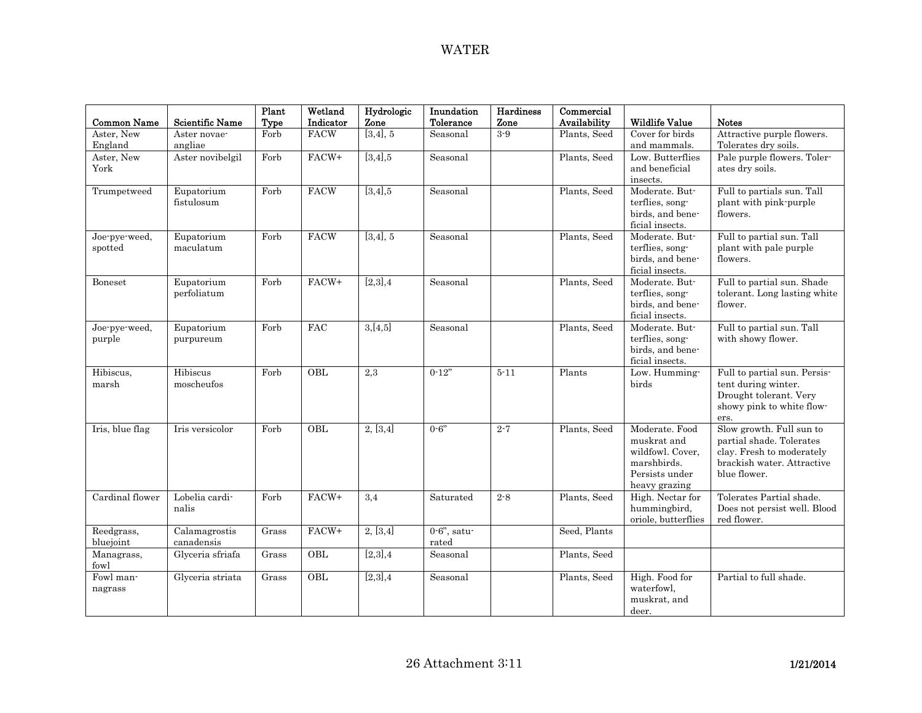| <b>Common Name</b>                  | <b>Scientific Name</b>      | Plant<br>Type | Wetland<br>Indicator | Hydrologic<br>Zone | Inundation<br>Tolerance | Hardiness<br>Zone | Commercial<br>Availability | <b>Wildlife Value</b>                                                                               | <b>Notes</b>                                                                                                                    |
|-------------------------------------|-----------------------------|---------------|----------------------|--------------------|-------------------------|-------------------|----------------------------|-----------------------------------------------------------------------------------------------------|---------------------------------------------------------------------------------------------------------------------------------|
| Aster, New<br>England               | Aster novae-<br>angliae     | Forb          | <b>FACW</b>          | [3,4], 5           | Seasonal                | $3-9$             | Plants, Seed               | Cover for birds<br>and mammals.                                                                     | Attractive purple flowers.<br>Tolerates dry soils.                                                                              |
| Aster, New<br>York                  | Aster novibelgil            | Forb          | FACW+                | [3,4], 5           | Seasonal                |                   | Plants, Seed               | Low. Butterflies<br>and beneficial<br>insects.                                                      | Pale purple flowers. Toler-<br>ates dry soils.                                                                                  |
| Trumpetweed                         | Eupatorium<br>fistulosum    | Forb          | FACW                 | [3,4],5            | Seasonal                |                   | Plants, Seed               | Moderate. But-<br>terflies, song-<br>birds, and bene-<br>ficial insects.                            | Full to partials sun. Tall<br>plant with pink-purple<br>flowers.                                                                |
| Joe-pye-weed,<br>spotted            | Eupatorium<br>maculatum     | Forb          | FACW                 | [3,4], 5           | Seasonal                |                   | Plants, Seed               | Moderate. But-<br>terflies, song-<br>birds, and bene-<br>ficial insects.                            | Full to partial sun. Tall<br>plant with pale purple<br>flowers.                                                                 |
| Boneset                             | Eupatorium<br>perfoliatum   | Forb          | FACW+                | [2,3],4            | Seasonal                |                   | Plants, Seed               | Moderate. But-<br>terflies, song-<br>birds, and bene-<br>ficial insects.                            | Full to partial sun. Shade<br>tolerant. Long lasting white<br>flower.                                                           |
| Joe-pye-weed,<br>purple             | Eupatorium<br>purpureum     | Forb          | FAC                  | 3,[4,5]            | Seasonal                |                   | Plants, Seed               | Moderate. But-<br>terflies, song-<br>birds, and bene-<br>ficial insects.                            | Full to partial sun. Tall<br>with showy flower.                                                                                 |
| Hibiscus,<br>marsh                  | Hibiscus<br>moscheufos      | Forb          | OBL                  | $\overline{2,3}$   | $0-12"$                 | $5 - 11$          | Plants                     | Low. Humming-<br>birds                                                                              | Full to partial sun. Persis-<br>tent during winter.<br>Drought tolerant. Very<br>showy pink to white flow-<br>ers.              |
| Iris, blue flag                     | Iris versicolor             | Forb          | OBL                  | 2, [3,4]           | $0 - 6"$                | $2 - 7$           | Plants, Seed               | Moderate. Food<br>muskrat and<br>wildfowl. Cover,<br>marshbirds.<br>Persists under<br>heavy grazing | Slow growth. Full sun to<br>partial shade. Tolerates<br>clay. Fresh to moderately<br>brackish water. Attractive<br>blue flower. |
| Cardinal flower                     | Lobelia cardi-<br>nalis     | Forb          | FACW+                | 3,4                | Saturated               | $2 - 8$           | Plants, Seed               | High. Nectar for<br>hummingbird,<br>oriole, butterflies                                             | Tolerates Partial shade.<br>Does not persist well. Blood<br>red flower.                                                         |
| Reedgrass,<br>bluejoint             | Calamagrostis<br>canadensis | Grass         | FACW+                | 2, [3,4]           | $0.6$ ", satu-<br>rated |                   | Seed, Plants               |                                                                                                     |                                                                                                                                 |
| Managrass,<br>$\operatorname{fowl}$ | Glyceria sfriafa            | Grass         | OBL                  | [2,3],4            | Seasonal                |                   | Plants, Seed               |                                                                                                     |                                                                                                                                 |
| Fowl man-<br>nagrass                | Glyceria striata            | Grass         | OBL                  | [2,3],4            | Seasonal                |                   | Plants, Seed               | High. Food for<br>waterfowl,<br>muskrat, and<br>deer.                                               | Partial to full shade.                                                                                                          |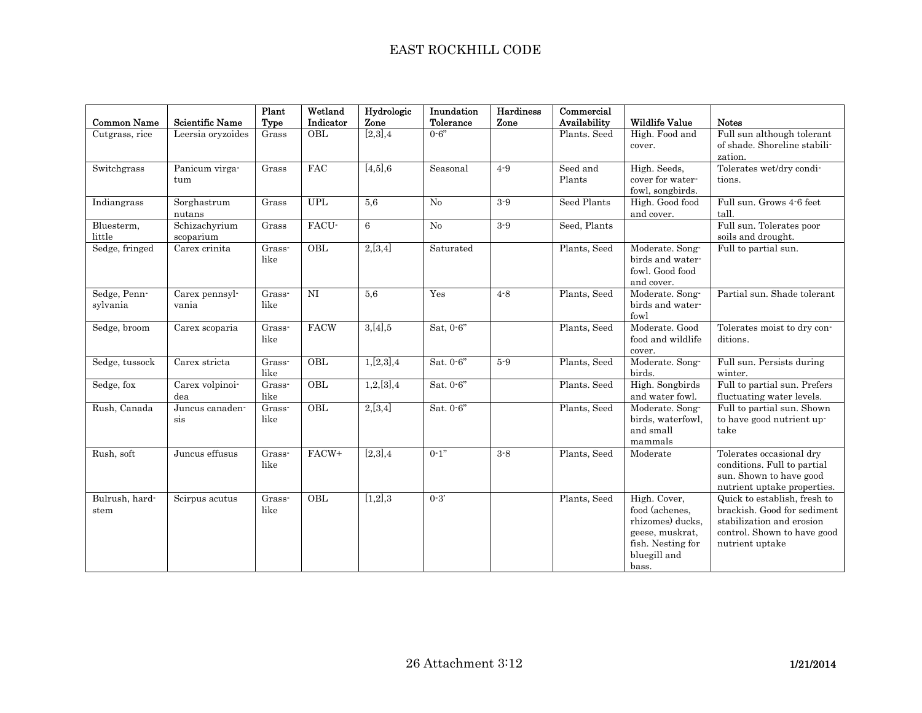| <b>Common Name</b>       | <b>Scientific Name</b>     | Plant<br>Type                     | Wetland<br>Indicator | Hydrologic<br>Zone | Inundation<br>Tolerance | Hardiness<br>Zone | Commercial<br>Availability | <b>Wildlife Value</b>                                                                                               | <b>Notes</b>                                                                                                                               |
|--------------------------|----------------------------|-----------------------------------|----------------------|--------------------|-------------------------|-------------------|----------------------------|---------------------------------------------------------------------------------------------------------------------|--------------------------------------------------------------------------------------------------------------------------------------------|
| Cutgrass, rice           | Leersia oryzoides          | Grass                             | OBL                  | [2,3],4            | $0 - 6"$                |                   | Plants. Seed               | High. Food and<br>cover.                                                                                            | Full sun although tolerant<br>of shade. Shoreline stabili-<br>zation.                                                                      |
| Switchgrass              | Panicum virga-<br>tum      | Grass                             | <b>FAC</b>           | [4,5], 6           | Seasonal                | $4 - 9$           | Seed and<br>Plants         | High. Seeds,<br>cover for water-<br>fowl, songbirds.                                                                | Tolerates wet/dry condi-<br>tions.                                                                                                         |
| Indiangrass              | Sorghastrum<br>nutans      | Grass                             | <b>UPL</b>           | 5.6                | No                      | $3-9$             | Seed Plants                | High. Good food<br>and cover.                                                                                       | Full sun. Grows 4-6 feet<br>tall.                                                                                                          |
| Bluesterm,<br>little     | Schizachyrium<br>scoparium | Grass                             | FACU-                | 6                  | No                      | $3 - 9$           | Seed, Plants               |                                                                                                                     | Full sun. Tolerates poor<br>soils and drought.                                                                                             |
| Sedge, fringed           | Carex crinita              | Grass-<br>like                    | OBL                  | 2,[3,4]            | Saturated               |                   | Plants, Seed               | Moderate. Song-<br>birds and water-<br>fowl. Good food<br>and cover.                                                | Full to partial sun.                                                                                                                       |
| Sedge, Penn-<br>sylvania | Carex pennsyl-<br>vania    | Grass-<br>like                    | $\rm NI$             | 5,6                | Yes                     | $4 - 8$           | Plants, Seed               | Moderate. Song-<br>birds and water-<br>fowl                                                                         | Partial sun. Shade tolerant                                                                                                                |
| Sedge, broom             | Carex scoparia             | Grass-<br>like                    | <b>FACW</b>          | 3,[4],5            | Sat, $0-6$ "            |                   | Plants, Seed               | Moderate, Good<br>food and wildlife<br>cover.                                                                       | Tolerates moist to dry con-<br>ditions.                                                                                                    |
| Sedge, tussock           | Carex stricta              | Grass-<br>like                    | OBL                  | 1,[2,3],4          | Sat. 0-6"               | $5-9$             | Plants, Seed               | Moderate. Song-<br>birds.                                                                                           | Full sun. Persists during<br>winter.                                                                                                       |
| Sedge, fox               | Carex volpinoi-<br>dea     | Grass-<br>like                    | OBL                  | 1,2,[3],4          | Sat. 0-6"               |                   | Plants. Seed               | High. Songbirds<br>and water fowl.                                                                                  | Full to partial sun. Prefers<br>fluctuating water levels.                                                                                  |
| Rush, Canada             | Juncus canaden-<br>$\sin$  | $\overline{\text{Grass}}$<br>like | OBL                  | 2,[3,4]            | Sat. 0-6"               |                   | Plants, Seed               | Moderate. Song-<br>birds, waterfowl,<br>and small<br>mammals                                                        | Full to partial sun. Shown<br>to have good nutrient up-<br>take                                                                            |
| Rush, soft               | Juncus effusus             | $\overline{G}$ rass<br>like       | FACW+                | [2,3],4            | $0-1"$                  | $3 - 8$           | Plants, Seed               | Moderate                                                                                                            | Tolerates occasional dry<br>conditions. Full to partial<br>sun. Shown to have good<br>nutrient uptake properties.                          |
| Bulrush, hard-<br>stem   | Scirpus acutus             | Grass-<br>like                    | OBL                  | [1,2],3            | $0 - 3'$                |                   | Plants, Seed               | High. Cover,<br>food (achenes,<br>rhizomes) ducks,<br>geese, muskrat,<br>fish. Nesting for<br>bluegill and<br>bass. | Quick to establish, fresh to<br>brackish. Good for sediment<br>stabilization and erosion<br>control. Shown to have good<br>nutrient uptake |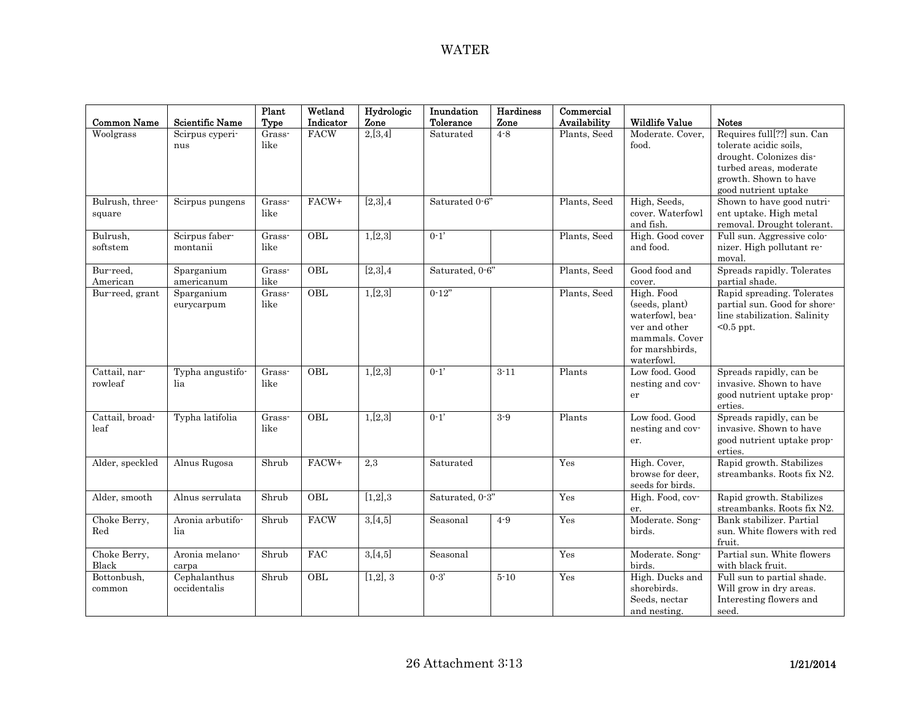| <b>Common Name</b>        | <b>Scientific Name</b>       | Plant<br>Type  | Wetland<br>Indicator | Hydrologic<br>Zone | Inundation<br>Tolerance | Hardiness<br>Zone | Commercial<br>Availability | <b>Wildlife Value</b>                                                                                               | <b>Notes</b>                                                                                                                                               |
|---------------------------|------------------------------|----------------|----------------------|--------------------|-------------------------|-------------------|----------------------------|---------------------------------------------------------------------------------------------------------------------|------------------------------------------------------------------------------------------------------------------------------------------------------------|
| Woolgrass                 | Scirpus cyperi-<br>nus       | Grass-<br>like | <b>FACW</b>          | 2,[3,4]            | Saturated               | $4 - 8$           | Plants, Seed               | Moderate. Cover,<br>food.                                                                                           | Requires full[??] sun. Can<br>tolerate acidic soils,<br>drought. Colonizes dis-<br>turbed areas, moderate<br>growth. Shown to have<br>good nutrient uptake |
| Bulrush, three-<br>square | Scirpus pungens              | Grass-<br>like | FACW+                | [2,3],4            | Saturated 0-6"          |                   | Plants, Seed               | High, Seeds,<br>cover. Waterfowl<br>and fish.                                                                       | Shown to have good nutri-<br>ent uptake. High metal<br>removal. Drought tolerant.                                                                          |
| Bulrush,<br>softstem      | Scirpus faber-<br>montanii   | Grass-<br>like | OBL                  | 1,[2,3]            | $0 - 1'$                |                   | Plants, Seed               | High. Good cover<br>and food.                                                                                       | Full sun. Aggressive colo-<br>nizer. High pollutant re-<br>moval.                                                                                          |
| Bur-reed,<br>American     | Sparganium<br>americanum     | Grass-<br>like | OBL                  | [2,3],4            | Saturated, 0-6"         |                   | Plants, Seed               | Good food and<br>cover.                                                                                             | Spreads rapidly. Tolerates<br>partial shade.                                                                                                               |
| Bur-reed, grant           | Sparganium<br>eurycarpum     | Grass-<br>like | $\overline{OBL}$     | 1,[2,3]            | $0-12"$                 |                   | Plants, Seed               | High. Food<br>(seeds, plant)<br>waterfowl, bea-<br>ver and other<br>mammals. Cover<br>for marshbirds,<br>waterfowl. | Rapid spreading. Tolerates<br>partial sun. Good for shore-<br>line stabilization. Salinity<br>$<0.5$ ppt.                                                  |
| Cattail, nar-<br>rowleaf  | Typha angustifo-<br>lia      | Grass-<br>like | OBL                  | 1,[2,3]            | $0 - 1'$                | $3 - 11$          | Plants                     | Low food. Good<br>nesting and cov-<br>er                                                                            | Spreads rapidly, can be<br>invasive. Shown to have<br>good nutrient uptake prop-<br>erties.                                                                |
| Cattail, broad-<br>leaf   | Typha latifolia              | Grass-<br>like | OBL                  | 1,[2,3]            | $0 - 1'$                | $3-9$             | Plants                     | Low food, Good<br>nesting and cov-<br>er.                                                                           | Spreads rapidly, can be<br>invasive. Shown to have<br>good nutrient uptake prop-<br>erties.                                                                |
| Alder, speckled           | Alnus Rugosa                 | Shrub          | FACW+                | 2,3                | Saturated               |                   | Yes                        | High. Cover,<br>browse for deer.<br>seeds for birds.                                                                | Rapid growth. Stabilizes<br>streambanks. Roots fix N2.                                                                                                     |
| Alder, smooth             | Alnus serrulata              | Shrub          | OBL                  | [1,2],3            | Saturated, 0-3"         |                   | Yes                        | High. Food, cov-<br>er.                                                                                             | Rapid growth. Stabilizes<br>streambanks. Roots fix N2.                                                                                                     |
| Choke Berry,<br>Red       | Aronia arbutifo-<br>lia      | Shrub          | <b>FACW</b>          | 3,[4,5]            | Seasonal                | $4 - 9$           | Yes                        | Moderate. Song-<br>birds.                                                                                           | Bank stabilizer. Partial<br>sun. White flowers with red<br>fruit.                                                                                          |
| Choke Berry,<br>Black     | Aronia melano-<br>carpa      | Shrub          | FAC                  | 3,[4,5]            | Seasonal                |                   | Yes                        | Moderate. Song-<br>birds.                                                                                           | Partial sun. White flowers<br>with black fruit.                                                                                                            |
| Bottonbush,<br>common     | Cephalanthus<br>occidentalis | Shrub          | OBL                  | [1,2], 3           | $0 - 3'$                | $5 - 10$          | Yes                        | High. Ducks and<br>shorebirds.<br>Seeds, nectar<br>and nesting.                                                     | Full sun to partial shade.<br>Will grow in dry areas.<br>Interesting flowers and<br>seed.                                                                  |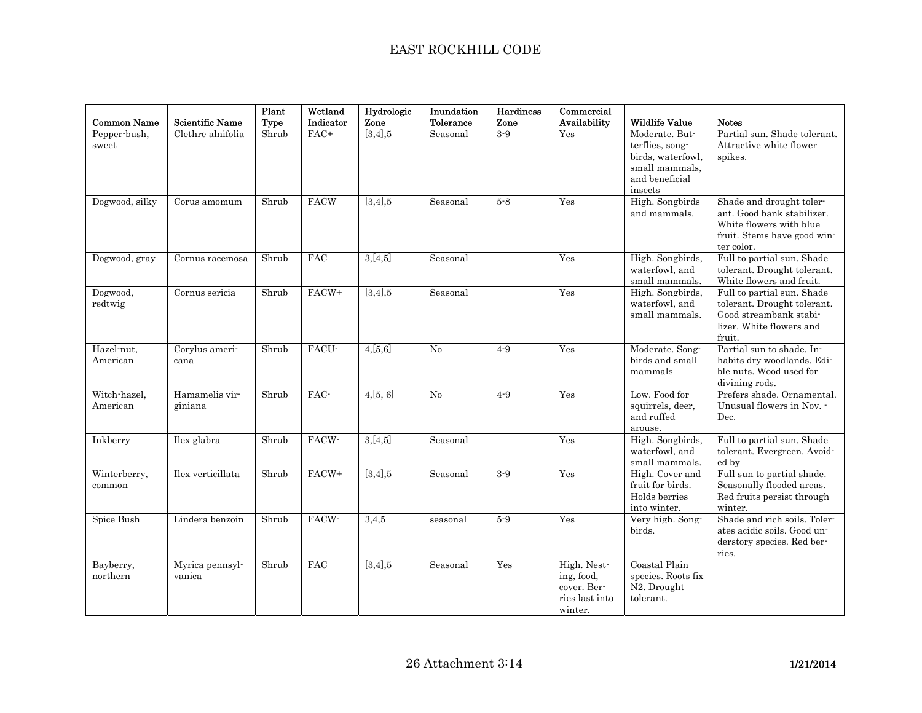## EAST ROCKHILL CODE

| <b>Common Name</b>       | Scientific Name           | Plant<br>Type | Wetland<br>Indicator | Hydrologic<br>Zone | Inundation<br>Tolerance | Hardiness<br>Zone | Commercial<br>Availability                                            | <b>Wildlife Value</b>                                                                                 | <b>Notes</b>                                                                                                                   |
|--------------------------|---------------------------|---------------|----------------------|--------------------|-------------------------|-------------------|-----------------------------------------------------------------------|-------------------------------------------------------------------------------------------------------|--------------------------------------------------------------------------------------------------------------------------------|
| Pepper-bush,<br>sweet    | Clethre alnifolia         | Shrub         | FAC+                 | [3,4], 5           | Seasonal                | $3-9$             | Yes                                                                   | Moderate. But-<br>terflies, song-<br>birds, waterfowl,<br>small mammals.<br>and beneficial<br>insects | Partial sun. Shade tolerant.<br>Attractive white flower<br>spikes.                                                             |
| Dogwood, silky           | Corus amomum              | Shrub         | <b>FACW</b>          | [3,4], 5           | Seasonal                | $5-8$             | Yes                                                                   | High. Songbirds<br>and mammals.                                                                       | Shade and drought toler-<br>ant. Good bank stabilizer.<br>White flowers with blue<br>fruit. Stems have good win-<br>ter color. |
| Dogwood, gray            | Cornus racemosa           | Shrub         | <b>FAC</b>           | 3,[4,5]            | Seasonal                |                   | Yes                                                                   | High. Songbirds,<br>waterfowl, and<br>small mammals.                                                  | Full to partial sun. Shade<br>tolerant. Drought tolerant.<br>White flowers and fruit.                                          |
| Dogwood,<br>redtwig      | Cornus sericia            | Shrub         | FACW+                | [3,4], 5           | Seasonal                |                   | Yes                                                                   | High. Songbirds,<br>waterfowl, and<br>small mammals.                                                  | Full to partial sun. Shade<br>tolerant. Drought tolerant.<br>Good streambank stabi-<br>lizer. White flowers and<br>fruit.      |
| Hazel-nut,<br>American   | Corylus ameri-<br>cana    | Shrub         | FACU-                | 4,[5,6]            | No                      | $4 - 9$           | Yes                                                                   | Moderate. Song-<br>birds and small<br>mammals                                                         | Partial sun to shade. In-<br>habits dry woodlands. Edi-<br>ble nuts. Wood used for<br>divining rods.                           |
| Witch-hazel.<br>American | Hamamelis vir-<br>giniana | Shrub         | FAC-                 | 4,[5,6]            | No                      | $4-9$             | Yes                                                                   | Low. Food for<br>squirrels, deer,<br>and ruffed<br>arouse.                                            | Prefers shade. Ornamental.<br>Unusual flowers in Nov. -<br>Dec.                                                                |
| Inkberry                 | Ilex glabra               | Shrub         | FACW-                | 3,[4,5]            | Seasonal                |                   | Yes                                                                   | High. Songbirds,<br>waterfowl, and<br>small mammals.                                                  | Full to partial sun. Shade<br>tolerant. Evergreen. Avoid-<br>ed by                                                             |
| Winterberry,<br>common   | Ilex verticillata         | Shrub         | FACW+                | [3,4], 5           | Seasonal                | $3-9$             | Yes                                                                   | High. Cover and<br>fruit for birds.<br>Holds berries<br>into winter.                                  | Full sun to partial shade.<br>Seasonally flooded areas.<br>Red fruits persist through<br>winter.                               |
| Spice Bush               | Lindera benzoin           | Shrub         | FACW-                | 3,4,5              | seasonal                | $5-9$             | Yes                                                                   | Very high. Song-<br>birds.                                                                            | Shade and rich soils. Toler-<br>ates acidic soils. Good un-<br>derstory species. Red ber-<br>ries.                             |
| Bayberry,<br>northern    | Myrica pennsyl-<br>vanica | Shrub         | FAC                  | $[3,4]$ ,5         | Seasonal                | Yes               | High. Nest-<br>ing, food,<br>cover. Ber-<br>ries last into<br>winter. | Coastal Plain<br>species. Roots fix<br>N2. Drought<br>tolerant.                                       |                                                                                                                                |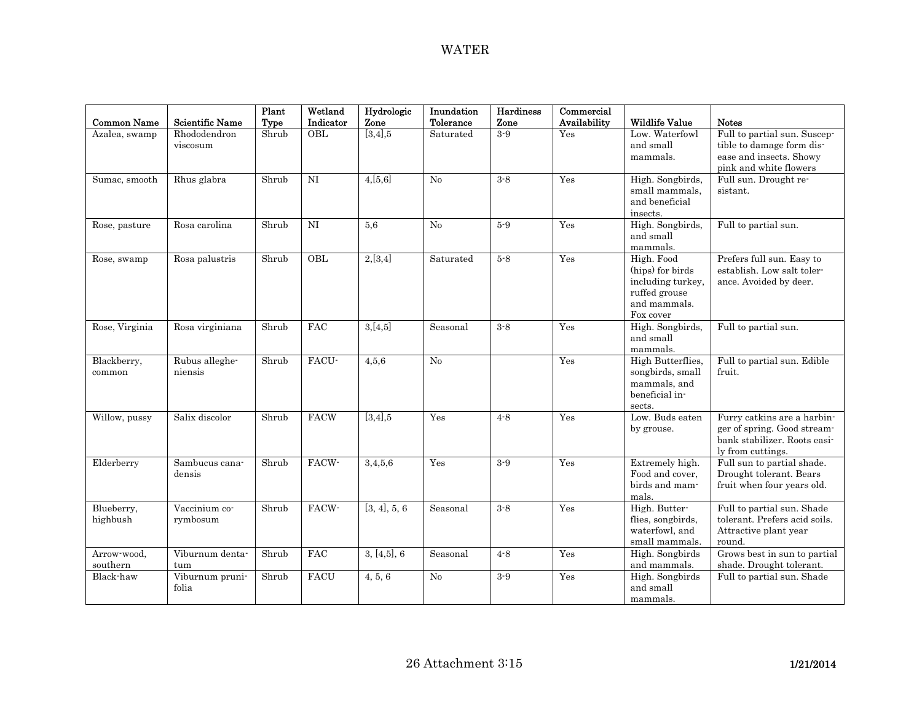| <b>Common Name</b>      | <b>Scientific Name</b>    | Plant<br>Type | Wetland<br>Indicator | Hydrologic<br>Zone    | Inundation<br>Tolerance | <b>Hardiness</b><br>Zone | Commercial<br>Availability | <b>Wildlife Value</b>                                                                             | <b>Notes</b>                                                                                                    |
|-------------------------|---------------------------|---------------|----------------------|-----------------------|-------------------------|--------------------------|----------------------------|---------------------------------------------------------------------------------------------------|-----------------------------------------------------------------------------------------------------------------|
| Azalea, swamp           | Rhododendron<br>viscosum  | Shrub         | OBL                  | $\overline{[3,4]}$ ,5 | Saturated               | $3-9$                    | Yes                        | Low. Waterfowl<br>and small<br>mammals.                                                           | Full to partial sun. Suscep-<br>tible to damage form dis-<br>ease and insects. Showy<br>pink and white flowers  |
| Sumac, smooth           | Rhus glabra               | Shrub         | <b>NI</b>            | 4,[5,6]               | No                      | $3 - 8$                  | Yes                        | High. Songbirds,<br>small mammals,<br>and beneficial<br>insects.                                  | Full sun. Drought re-<br>sistant.                                                                               |
| Rose, pasture           | Rosa carolina             | Shrub         | NI                   | 5,6                   | No                      | $5-9$                    | Yes                        | High. Songbirds,<br>and small<br>mammals.                                                         | Full to partial sun.                                                                                            |
| Rose, swamp             | Rosa palustris            | Shrub         | OBL                  | 2,[3,4]               | Saturated               | $5 - 8$                  | Yes                        | High. Food<br>(hips) for birds<br>including turkey,<br>ruffed grouse<br>and mammals.<br>Fox cover | Prefers full sun. Easy to<br>establish. Low salt toler-<br>ance. Avoided by deer.                               |
| Rose, Virginia          | Rosa virginiana           | Shrub         | <b>FAC</b>           | 3,[4,5]               | Seasonal                | $3 - 8$                  | Yes                        | High. Songbirds,<br>and small<br>mammals.                                                         | Full to partial sun.                                                                                            |
| Blackberry,<br>common   | Rubus alleghe-<br>niensis | Shrub         | FACU-                | 4,5,6                 | No                      |                          | Yes                        | High Butterflies,<br>songbirds, small<br>mammals, and<br>beneficial in-<br>sects.                 | Full to partial sun. Edible<br>fruit.                                                                           |
| Willow, pussy           | Salix discolor            | Shrub         | <b>FACW</b>          | [3,4], 5              | Yes                     | $4 - 8$                  | Yes                        | Low. Buds eaten<br>by grouse.                                                                     | Furry catkins are a harbin-<br>ger of spring. Good stream-<br>bank stabilizer. Roots easi-<br>ly from cuttings. |
| Elderberry              | Sambucus cana-<br>densis  | Shrub         | FACW-                | 3,4,5,6               | Yes                     | $3 - 9$                  | Yes                        | Extremely high.<br>Food and cover.<br>birds and mam-<br>mals.                                     | Full sun to partial shade.<br>Drought tolerant. Bears<br>fruit when four years old.                             |
| Blueberry,<br>highbush  | Vaccinium co-<br>rymbosum | Shrub         | FACW-                | [3, 4], 5, 6          | Seasonal                | $3 - 8$                  | Yes                        | High. Butter-<br>flies, songbirds,<br>waterfowl, and<br>small mammals.                            | Full to partial sun. Shade<br>tolerant. Prefers acid soils.<br>Attractive plant year<br>round.                  |
| Arrow-wood.<br>southern | Viburnum denta-<br>tum    | Shrub         | <b>FAC</b>           | 3, [4,5], 6           | Seasonal                | $4 - 8$                  | Yes                        | High. Songbirds<br>and mammals.                                                                   | Grows best in sun to partial<br>shade. Drought tolerant.                                                        |
| Black-haw               | Viburnum pruni-<br>folia  | Shrub         | <b>FACU</b>          | 4, 5, 6               | No                      | $3 - 9$                  | Yes                        | High. Songbirds<br>and small<br>mammals.                                                          | Full to partial sun. Shade                                                                                      |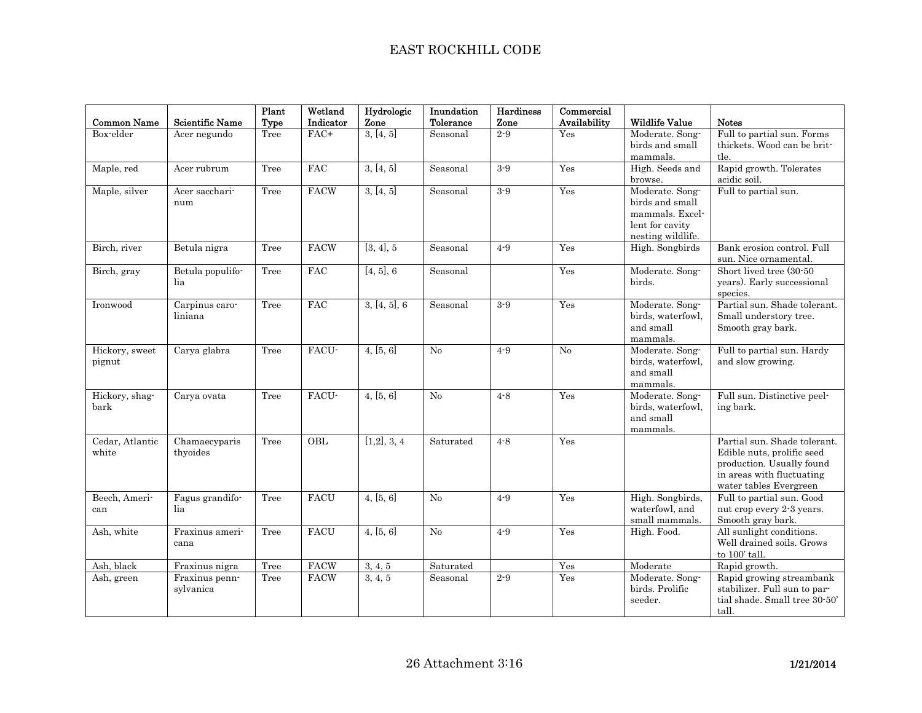| <b>Common Name</b>       | <b>Scientific Name</b>      | Plant<br>Type | Wetland<br>Indicator | Hydrologic<br>Zone | Inundation<br>Tolerance | Hardiness<br>Zone | Commercial<br>Availability | <b>Wildlife Value</b>                                                                         | <b>Notes</b>                                                                                                                                   |
|--------------------------|-----------------------------|---------------|----------------------|--------------------|-------------------------|-------------------|----------------------------|-----------------------------------------------------------------------------------------------|------------------------------------------------------------------------------------------------------------------------------------------------|
| Box-elder                | Acer negundo                | Tree          | FAC+                 | 3, [4, 5]          | Seasonal                | $2 - 9$           | Yes                        | Moderate. Song-<br>birds and small<br>mammals.                                                | Full to partial sun. Forms<br>thickets. Wood can be brit-<br>tle.                                                                              |
| Maple, red               | Acer rubrum                 | Tree          | $_{\rm FAC}$         | 3, [4, 5]          | Seasonal                | $3-9$             | Yes                        | High. Seeds and<br>browse.                                                                    | Rapid growth. Tolerates<br>acidic soil.                                                                                                        |
| Maple, silver            | Acer sacchari-<br>num       | Tree          | FACW                 | 3, [4, 5]          | Seasonal                | $3 - 9$           | Yes                        | Moderate. Song-<br>birds and small<br>mammals. Excel-<br>lent for cavity<br>nesting wildlife. | Full to partial sun.                                                                                                                           |
| Birch, river             | Betula nigra                | Tree          | <b>FACW</b>          | [3, 4], 5          | Seasonal                | $4 - 9$           | Yes                        | High. Songbirds                                                                               | Bank erosion control. Full<br>sun. Nice ornamental.                                                                                            |
| Birch, gray              | Betula populifo-<br>lia     | Tree          | <b>FAC</b>           | [4, 5], 6          | Seasonal                |                   | Yes                        | Moderate. Song-<br>birds.                                                                     | Short lived tree (30-50<br>years). Early successional<br>species.                                                                              |
| Ironwood                 | Carpinus caro-<br>liniana   | Tree          | FAC                  | 3, [4, 5], 6       | Seasonal                | $3-9$             | Yes                        | Moderate. Song-<br>birds, waterfowl.<br>and small<br>mammals.                                 | Partial sun. Shade tolerant.<br>Small understory tree.<br>Smooth gray bark.                                                                    |
| Hickory, sweet<br>pignut | Carya glabra                | Tree          | FACU-                | 4, [5, 6]          | No                      | $4 - 9$           | No                         | Moderate. Song-<br>birds, waterfowl,<br>and small<br>mammals.                                 | Full to partial sun. Hardy<br>and slow growing.                                                                                                |
| Hickory, shag-<br>bark   | Carya ovata                 | Tree          | FACU-                | 4, [5, 6]          | No                      | $4 - 8$           | Yes                        | Moderate. Song-<br>birds, waterfowl,<br>and small<br>mammals.                                 | Full sun. Distinctive peel-<br>ing bark.                                                                                                       |
| Cedar, Atlantic<br>white | Chamaecyparis<br>thyoides   | Tree          | OBL                  | [1,2], 3, 4        | Saturated               | $4 - 8$           | Yes                        |                                                                                               | Partial sun. Shade tolerant.<br>Edible nuts, prolific seed<br>production. Usually found<br>in areas with fluctuating<br>water tables Evergreen |
| Beech, Ameri-<br>can     | Fagus grandifo-<br>lia      | Tree          | <b>FACU</b>          | 4, [5, 6]          | No                      | $4-9$             | Yes                        | High. Songbirds,<br>waterfowl, and<br>small mammals.                                          | Full to partial sun. Good<br>nut crop every 2-3 years.<br>Smooth gray bark.                                                                    |
| Ash, white               | Fraxinus ameri-<br>cana     | Tree          | <b>FACU</b>          | 4, [5, 6]          | No                      | $4-9$             | Yes                        | High. Food.                                                                                   | All sunlight conditions.<br>Well drained soils. Grows<br>to 100' tall.                                                                         |
| Ash, black               | Fraxinus nigra              | Tree          | <b>FACW</b>          | 3, 4, 5            | Saturated               |                   | Yes                        | $\overline{\text{M}}$ oderate                                                                 | Rapid growth.                                                                                                                                  |
| Ash, green               | Fraxinus penn-<br>sylvanica | Tree          | <b>FACW</b>          | 3, 4, 5            | Seasonal                | $2 - 9$           | Yes                        | Moderate. Song-<br>birds. Prolific<br>seeder.                                                 | Rapid growing streambank<br>stabilizer. Full sun to par-<br>tial shade. Small tree 30-50'<br>tall.                                             |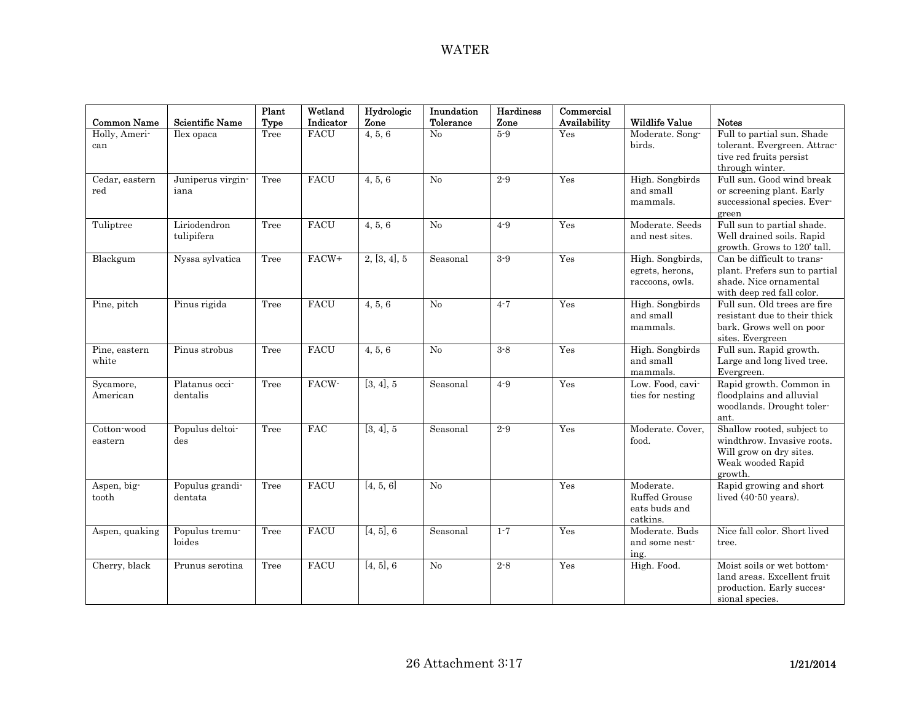| <b>Common Name</b>     | <b>Scientific Name</b>     | Plant<br>Type | Wetland<br>Indicator | Hydrologic<br>Zone | Inundation<br>Tolerance | <b>Hardiness</b><br>Zone | Commercial<br>Availability | <b>Wildlife Value</b>                                   | <b>Notes</b>                                                                                                        |
|------------------------|----------------------------|---------------|----------------------|--------------------|-------------------------|--------------------------|----------------------------|---------------------------------------------------------|---------------------------------------------------------------------------------------------------------------------|
| Holly, Ameri-<br>can   | Ilex opaca                 | Tree          | <b>FACU</b>          | 4, 5, 6            | No                      | $5-9$                    | Yes                        | Moderate. Song-<br>birds.                               | Full to partial sun. Shade<br>tolerant. Evergreen. Attrac-<br>tive red fruits persist<br>through winter.            |
| Cedar, eastern<br>red  | Juniperus virgin-<br>iana  | Tree          | <b>FACU</b>          | 4, 5, 6            | No                      | $2 - 9$                  | Yes                        | High. Songbirds<br>and small<br>mammals.                | Full sun. Good wind break<br>or screening plant. Early<br>successional species. Ever-<br>green                      |
| Tuliptree              | Liriodendron<br>tulipifera | Tree          | <b>FACU</b>          | 4, 5, 6            | No                      | $4 - 9$                  | Yes                        | Moderate. Seeds<br>and nest sites.                      | Full sun to partial shade.<br>Well drained soils. Rapid<br>growth. Grows to 120' tall.                              |
| Blackgum               | Nyssa sylvatica            | Tree          | FACW+                | 2, [3, 4], 5       | Seasonal                | $3 - 9$                  | Yes                        | High. Songbirds,<br>egrets, herons,<br>raccoons, owls.  | Can be difficult to trans-<br>plant. Prefers sun to partial<br>shade. Nice ornamental<br>with deep red fall color.  |
| Pine, pitch            | Pinus rigida               | Tree          | <b>FACU</b>          | 4, 5, 6            | No                      | $4 - 7$                  | Yes                        | High. Songbirds<br>and small<br>mammals.                | Full sun. Old trees are fire<br>resistant due to their thick<br>bark. Grows well on poor<br>sites. Evergreen        |
| Pine, eastern<br>white | Pinus strobus              | Tree          | <b>FACU</b>          | 4, 5, 6            | No                      | $3 - 8$                  | Yes                        | High. Songbirds<br>and small<br>mammals.                | Full sun. Rapid growth.<br>Large and long lived tree.<br>Evergreen.                                                 |
| Sycamore,<br>American  | Platanus occi-<br>dentalis | Tree          | FACW-                | [3, 4], 5          | Seasonal                | $4 - 9$                  | Yes                        | Low. Food, cavi-<br>ties for nesting                    | Rapid growth. Common in<br>floodplains and alluvial<br>woodlands. Drought toler-<br>ant.                            |
| Cotton-wood<br>eastern | Populus deltoi-<br>des     | Tree          | FAC                  | [3, 4], 5          | Seasonal                | $2\mbox{-}9$             | Yes                        | Moderate. Cover,<br>food.                               | Shallow rooted, subject to<br>windthrow. Invasive roots.<br>Will grow on dry sites.<br>Weak wooded Rapid<br>growth. |
| Aspen, big-<br>tooth   | Populus grandi-<br>dentata | Tree          | <b>FACU</b>          | [4, 5, 6]          | No                      |                          | Yes                        | Moderate.<br>Ruffed Grouse<br>eats buds and<br>catkins. | Rapid growing and short<br>lived $(40-50 \text{ years})$ .                                                          |
| Aspen, quaking         | Populus tremu-<br>loides   | Tree          | <b>FACU</b>          | [4, 5], 6          | Seasonal                | $1 - 7$                  | Yes                        | Moderate. Buds<br>and some nest-<br>ing.                | Nice fall color. Short lived<br>tree.                                                                               |
| Cherry, black          | Prunus serotina            | Tree          | <b>FACU</b>          | [4, 5], 6          | No                      | $2 - 8$                  | Yes                        | High. Food.                                             | Moist soils or wet bottom-<br>land areas. Excellent fruit<br>production. Early succes-<br>sional species.           |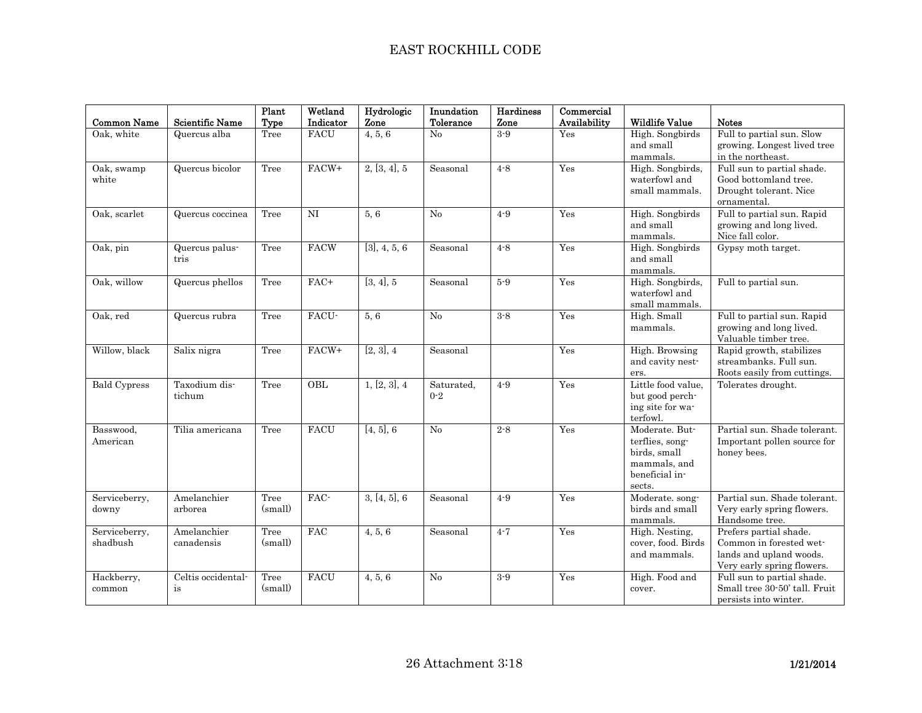| <b>Common Name</b>        | <b>Scientific Name</b>    | Plant<br>Type   | Wetland<br>Indicator | Hydrologic<br>Zone         | Inundation<br>Tolerance | <b>Hardiness</b><br>Zone | Commercial<br>Availability | <b>Wildlife Value</b>                                                                         | <b>Notes</b>                                                                                               |
|---------------------------|---------------------------|-----------------|----------------------|----------------------------|-------------------------|--------------------------|----------------------------|-----------------------------------------------------------------------------------------------|------------------------------------------------------------------------------------------------------------|
| Oak, white                | Quercus alba              | Tree            | <b>FACU</b>          | 4, 5, 6                    | No                      | $3 - 9$                  | Yes                        | High. Songbirds<br>and small<br>mammals.                                                      | Full to partial sun. Slow<br>growing. Longest lived tree<br>in the northeast.                              |
| Oak, swamp<br>white       | Quercus bicolor           | Tree            | FACW+                | 2, [3, 4], 5               | Seasonal                | $4 - 8$                  | Yes                        | High. Songbirds,<br>waterfowl and<br>small mammals.                                           | Full sun to partial shade.<br>Good bottomland tree.<br>Drought tolerant. Nice<br>ornamental.               |
| Oak, scarlet              | Quercus coccinea          | Tree            | NI                   | 5, 6                       | No                      | $4 - 9$                  | Yes                        | High. Songbirds<br>and small<br>mammals.                                                      | Full to partial sun. Rapid<br>growing and long lived.<br>Nice fall color.                                  |
| Oak, pin                  | Quercus palus-<br>tris    | Tree            | <b>FACW</b>          | $\overline{[3], 4}$ , 5, 6 | Seasonal                | $4 - 8$                  | Yes                        | High. Songbirds<br>and small<br>mammals.                                                      | Gypsy moth target.                                                                                         |
| Oak, willow               | Quercus phellos           | Tree            | $FAC+$               | [3, 4], 5                  | Seasonal                | $5-9$                    | Yes                        | High. Songbirds,<br>waterfowl and<br>small mammals.                                           | Full to partial sun.                                                                                       |
| Oak, red                  | Quercus rubra             | Tree            | FACU-                | 5.6                        | No                      | $3 - 8$                  | Yes                        | High. Small<br>mammals.                                                                       | Full to partial sun. Rapid<br>growing and long lived.<br>Valuable timber tree.                             |
| Willow, black             | Salix nigra               | Tree            | FACW+                | [2, 3], 4                  | Seasonal                |                          | Yes                        | High. Browsing<br>and cavity nest-<br>ers.                                                    | Rapid growth, stabilizes<br>streambanks. Full sun.<br>Roots easily from cuttings.                          |
| <b>Bald Cypress</b>       | Taxodium dis-<br>tichum   | Tree            | OBL                  | 1, [2, 3], 4               | Saturated,<br>$0 - 2$   | $4 - 9$                  | Yes                        | Little food value.<br>but good perch-<br>ing site for wa-<br>terfowl.                         | Tolerates drought.                                                                                         |
| Basswood.<br>American     | Tilia americana           | Tree            | <b>FACU</b>          | [4, 5], 6                  | No                      | $2 - 8$                  | Yes                        | Moderate. But-<br>terflies, song-<br>birds, small<br>mammals, and<br>beneficial in-<br>sects. | Partial sun. Shade tolerant.<br>Important pollen source for<br>honey bees.                                 |
| Serviceberry,<br>downy    | Amelanchier<br>arborea    | Tree<br>(small) | FAC-                 | 3, [4, 5], 6               | Seasonal                | $4 - 9$                  | Yes                        | Moderate. song-<br>birds and small<br>mammals.                                                | Partial sun. Shade tolerant.<br>Very early spring flowers.<br>Handsome tree.                               |
| Serviceberry,<br>shadbush | Amelanchier<br>canadensis | Tree<br>(small) | <b>FAC</b>           | 4, 5, 6                    | Seasonal                | $4 - 7$                  | Yes                        | High. Nesting,<br>cover, food. Birds<br>and mammals.                                          | Prefers partial shade.<br>Common in forested wet-<br>lands and upland woods.<br>Very early spring flowers. |
| Hackberry,<br>common      | Celtis occidental-<br>is  | Tree<br>(small) | <b>FACU</b>          | 4, 5, 6                    | No                      | $3 - 9$                  | Yes                        | High. Food and<br>cover.                                                                      | Full sun to partial shade.<br>Small tree 30-50' tall. Fruit<br>persists into winter.                       |